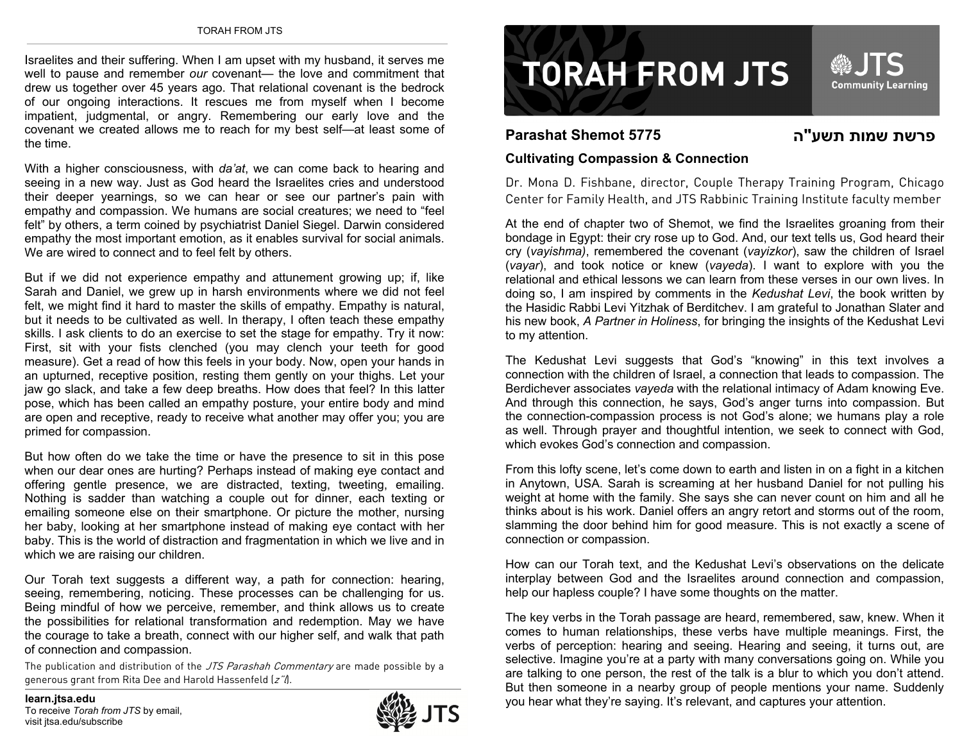Israelites and their suffering. When I am upset with my husband, it serves me well to pause and remember *our* covenant— the love and commitment that drew us together over 45 years ago. That relational covenant is the bedrock of our ongoing interactions. It rescues me from myself when I become impatient, judgmental, or angry. Remembering our early love and the covenant we created allows me to reach for my best self—at least some of the time.

With a higher consciousness, with *da'at*, we can come back to hearing and seeing in a new way. Just as God heard the Israelites cries and understood their deeper yearnings, so we can hear or see our partner's pain with empathy and compassion. We humans are social creatures; we need to "feel felt" by others, a term coined by psychiatrist Daniel Siegel. Darwin considered empathy the most important emotion, as it enables survival for social animals. We are wired to connect and to feel felt by others.

But if we did not experience empathy and attunement growing up; if, like Sarah and Daniel, we grew up in harsh environments where we did not feel felt, we might find it hard to master the skills of empathy. Empathy is natural, but it needs to be cultivated as well. In therapy, I often teach these empathy skills. I ask clients to do an exercise to set the stage for empathy. Try it now: First, sit with your fists clenched (you may clench your teeth for good measure). Get a read of how this feels in your body. Now, open your hands in an upturned, receptive position, resting them gently on your thighs. Let your jaw go slack, and take a few deep breaths. How does that feel? In this latter pose, which has been called an empathy posture, your entire body and mind are open and receptive, ready to receive what another may offer you; you are primed for compassion.

But how often do we take the time or have the presence to sit in this pose when our dear ones are hurting? Perhaps instead of making eye contact and offering gentle presence, we are distracted, texting, tweeting, emailing. Nothing is sadder than watching a couple out for dinner, each texting or emailing someone else on their smartphone. Or picture the mother, nursing her baby, looking at her smartphone instead of making eye contact with her baby. This is the world of distraction and fragmentation in which we live and in which we are raising our children.

Our Torah text suggests a different way, a path for connection: hearing, seeing, remembering, noticing. These processes can be challenging for us. Being mindful of how we perceive, remember, and think allows us to create the possibilities for relational transformation and redemption. May we have the courage to take a breath, connect with our higher self, and walk that path of connection and compassion.

The publication and distribution of the JTS Parashah Commentary are made possible by a generous grant from Rita Dee and Harold Hassenfeld (z").

visit itsa.edu/subscribe





## **Parashat Shemot 5775**

**הפרשת שמות תשע"**

## **Cultivating Compassion & Connection**

Dr. Mona D. Fishbane, director, Couple Therapy Training Program, Chicago Center for Family Health, and JTS Rabbinic Training Institute faculty member

At the end of chapter two of Shemot, we find the Israelites groaning from their bondage in Egypt: their cry rose up to God. And, our text tells us, God heard their cry (*vayishma)*, remembered the covenant (*vayizkor*), saw the children of Israel (*vayar*), and took notice or knew (*vayeda*). I want to explore with you the relational and ethical lessons we can learn from these verses in our own lives. In doing so, I am inspired by comments in the *Kedushat Levi*, the book written by the Hasidic Rabbi Levi Yitzhak of Berditchev. I am grateful to Jonathan Slater and his new book, *A Partner in Holiness*, for bringing the insights of the Kedushat Levi to my attention.

The Kedushat Levi suggests that God's "knowing" in this text involves a connection with the children of Israel, a connection that leads to compassion. The Berdichever associates *vayeda* with the relational intimacy of Adam knowing Eve. And through this connection, he says, God's anger turns into compassion. But the connection-compassion process is not God's alone; we humans play a role as well. Through prayer and thoughtful intention, we seek to connect with God, which evokes God's connection and compassion.

From this lofty scene, let's come down to earth and listen in on a fight in a kitchen in Anytown, USA. Sarah is screaming at her husband Daniel for not pulling his weight at home with the family. She says she can never count on him and all he thinks about is his work. Daniel offers an angry retort and storms out of the room, slamming the door behind him for good measure. This is not exactly a scene of connection or compassion.

How can our Torah text, and the Kedushat Levi's observations on the delicate interplay between God and the Israelites around connection and compassion, help our hapless couple? I have some thoughts on the matter.

The key verbs in the Torah passage are heard, remembered, saw, knew. When it comes to human relationships, these verbs have multiple meanings. First, the verbs of perception: hearing and seeing. Hearing and seeing, it turns out, are selective. Imagine you're at a party with many conversations going on. While you are talking to one person, the rest of the talk is a blur to which you don't attend. But then someone in a nearby group of people mentions your name. Suddenly learn.jtsa.edu<br>To receive *Torah from JTS* by email. **learned in the saying. It's relevant, and captures your attention.**